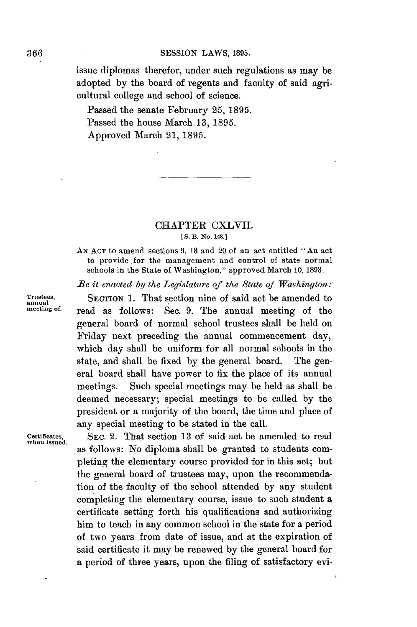**366 SESSION** LAWS, **1895.**

issue diplomas therefor, under such regulations as may be adopted **by** the board of regents and faculty of said agricultural college and school of science.

Passed the senate February **25, 1895.** Passed the house March **13, 1895.** Approved March 21, **1895.**

## CHAPTER CXLVII. **[S.** B. No. 148.]

**AN ACT** to amend sections **9, 18** and 20 of an act entitled "An act to provide for the management and control of state normal schools in the State of Washington," approved March **10, 1893.**

*Be it enacted by the Legislature of the State of Washington:*

**Trustees, SECTION 1.** That section nine of said act be amended to **annual meeting of.** read as follows: Sec. **9.** The annual meeting of the general board of normal school trustees shall be held on Friday next preceding the annual commencement day, which day shall be uniform for all normal schools in the state, and shall be fixed **by** the general board. The general board shall have power to fix the place of its annual meetings. Such special meetings may be held as shall be deemed necessary; special meetings to be called **by** the president or a majority of the board, the time and place of any special meeting to be stated in the call.

**when issued.**

SEC. 2. That section 13 of said act be amended to read as follows: No diploma shall be granted to students completing the elementary course provided for in this act; but the general board of trustees may, upon the recommendation of the faculty of the school attended **by** any student completing the elementary course, issue to such student a certificate setting forth his qualifications and authorizing him to teach in any common school in the state for a period of two years from date of issue, and at the expiration of said certificate it may be renewed **by** the general board for a period of three years, upon the filing of satisfactory evi-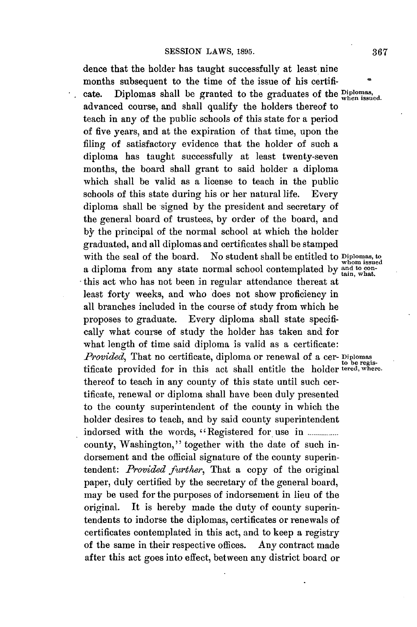dence that the holder has taught successfully at least nine months subsequent to the time of the issue of his certificate. Diplomas shall be granted to the graduates of the **Diploma,** advanced course, and shall qualify the holders thereof to teach in any of the public schools of this state for a period of five years, and at the expiration of that time, upon the filing of satisfactory evidence that the holder of such a diploma has taught successfully at least twenty-seven months, the board shall grant to said holder a diploma which shall be valid as a license to teach in the public schools of this state during his or her natural life. Every diploma shall be signed **by** the president and secretary of the general board of trustees, **by** order of the board, and **by** the principal of the normal school at which the holder graduated, and all diplomas and certificates shall be stamped with the seal of the board. No student shall be entitled to **Diplomas**, to whom issued a diploma from any state normal school contemplated by and to conthis act who has not been in regular attendance thereat at least forty weeks, and who does not show proficiency in all branches included in the course **of** study from which he proposes to graduate. Every diploma shall state specifically what course of study the holder has taken and for what length of time said diploma is valid as a certificate: *Provided,* That no certificate, diploma or renewal of a cer- **Diplomas** to **be** regis-tificate provided for in this act shall entitle the holder **tered, where.** thereof to teach in any county of this state until such certificate, renewal or diploma shall have been duly presented to the county superintendent of the county in which the holder desires to teach, and **by** said county superintendent indorsed with the words, "Registered for use in ................. county, Washington," together with the date of such indorsement and the official signature of the county superintendent: *Provided further,* That a copy of the original paper, duly certified **by** the secretary of the general board, may be used for the purposes of indorsement in lieu of the original. It is hereby made the duty of county superintendents to indorse the diplomas, certificates or renewals of certificates contemplated in this act, and to keep a registry of the same in their respective offices. **Any** contract made after this act goes into effect, between any district board or